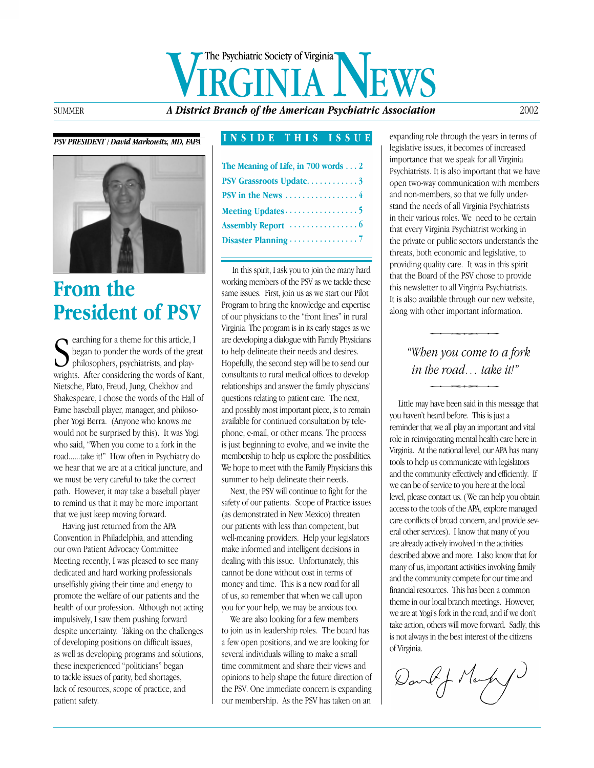# **A District Branch of the American Psychiatric Association**<br>A District Branch of the American Psychiatric Association 2002 The Psychiatric Society of Virginia

### *PSV PRESIDENT / David Markowitz, MD, FAPA*



# **From the President of PSV**

Searching for a theme for this article, I<br>began to ponder the words of the green<br>philosophers, psychiatrists, and play-<br>wrights. After considering the words of Ka began to ponder the words of the great philosophers, psychiatrists, and playwrights. After considering the words of Kant, Nietsche, Plato, Freud, Jung, Chekhov and Shakespeare, I chose the words of the Hall of Fame baseball player, manager, and philosopher Yogi Berra. (Anyone who knows me would not be surprised by this). It was Yogi who said, "When you come to a fork in the road......take it!" How often in Psychiatry do we hear that we are at a critical juncture, and we must be very careful to take the correct path. However, it may take a baseball player to remind us that it may be more important that we just keep moving forward.

Having just returned from the APA Convention in Philadelphia, and attending our own Patient Advocacy Committee Meeting recently, I was pleased to see many dedicated and hard working professionals unselfishly giving their time and energy to promote the welfare of our patients and the health of our profession. Although not acting impulsively, I saw them pushing forward despite uncertainty. Taking on the challenges of developing positions on difficult issues, as well as developing programs and solutions, these inexperienced "politicians" began to tackle issues of parity, bed shortages, lack of resources, scope of practice, and patient safety.

### **INSIDE THIS ISSUE**

| The Meaning of Life, in $700$ words $\dots$ 2   |
|-------------------------------------------------|
| PSV Grassroots Update3                          |
| PSV in the News $\dots\dots\dots\dots\dots4$    |
| Meeting Updates $\dots \dots \dots \dots \dots$ |
|                                                 |
|                                                 |
|                                                 |

In this spirit, I ask you to join the many hard working members of the PSV as we tackle these same issues. First, join us as we start our Pilot Program to bring the knowledge and expertise of our physicians to the "front lines" in rural Virginia. The program is in its early stages as we are developing a dialogue with Family Physicians to help delineate their needs and desires. Hopefully, the second step will be to send our consultants to rural medical offices to develop relationships and answer the family physicians' questions relating to patient care. The next, and possibly most important piece, is to remain available for continued consultation by telephone, e-mail, or other means. The process is just beginning to evolve, and we invite the membership to help us explore the possibilities. We hope to meet with the Family Physicians this summer to help delineate their needs.

Next, the PSV will continue to fight for the safety of our patients. Scope of Practice issues (as demonstrated in New Mexico) threaten our patients with less than competent, but well-meaning providers. Help your legislators make informed and intelligent decisions in dealing with this issue. Unfortunately, this cannot be done without cost in terms of money and time. This is a new road for all of us, so remember that when we call upon you for your help, we may be anxious too.

We are also looking for a few members to join us in leadership roles. The board has a few open positions, and we are looking for several individuals willing to make a small time commitment and share their views and opinions to help shape the future direction of the PSV. One immediate concern is expanding our membership. As the PSV has taken on an

expanding role through the years in terms of legislative issues, it becomes of increased importance that we speak for all Virginia Psychiatrists. It is also important that we have open two-way communication with members and non-members, so that we fully understand the needs of all Virginia Psychiatrists in their various roles. We need to be certain that every Virginia Psychiatrist working in the private or public sectors understands the threats, both economic and legislative, to providing quality care. It was in this spirit that the Board of the PSV chose to provide this newsletter to all Virginia Psychiatrists. It is also available through our new website, along with other important information.

**Example 18 and the road in the road in the road in the road in the road in the road in the road in this message the may have been said in this message the may have been said in this message the may have been said in this** 

Little may have been said in this message that you haven't heard before. This is just a reminder that we all play an important and vital role in reinvigorating mental health care here in Virginia. At the national level, our APA has many tools to help us communicate with legislators and the community effectively and efficiently. If we can be of service to you here at the local level, please contact us. (We can help you obtain access to the tools of the APA, explore managed care conflicts of broad concern, and provide several other services). I know that many of you are already actively involved in the activities described above and more. I also know that for many of us, important activities involving family and the community compete for our time and financial resources. This has been a common theme in our local branch meetings. However, we are at Yogi's fork in the road, and if we don't take action, others will move forward. Sadly, this is not always in the best interest of the citizens of Virginia.

David J Marky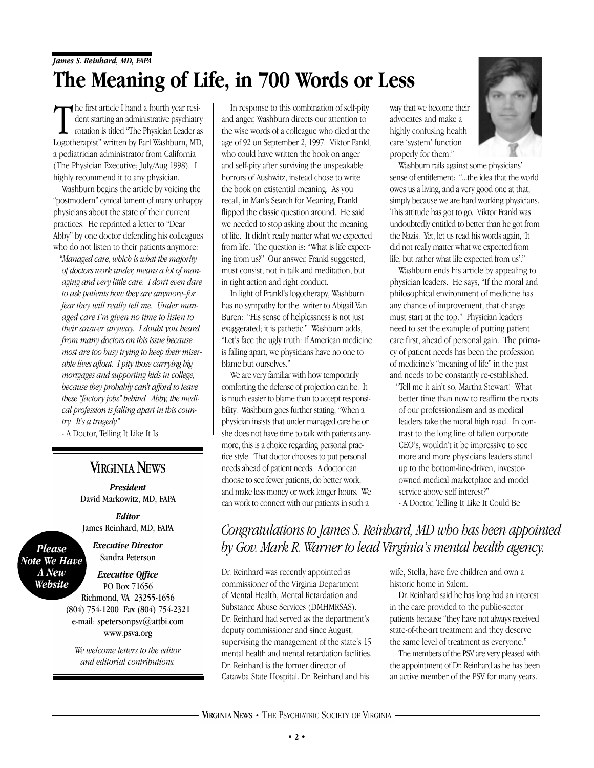The first article I hand a fourth year resident starting an administrative psychiatry<br>rotation is titled "The Physician Leader a<br>Logotheranist" written by Earl Washburn MD dent starting an administrative psychiatry rotation is titled "The Physician Leader as Logotherapist" written by Earl Washburn, MD, a pediatrician administrator from California (The Physician Executive; July/Aug 1998). I highly recommend it to any physician.

Washburn begins the article by voicing the "postmodern" cynical lament of many unhappy physicians about the state of their current practices. He reprinted a letter to "Dear Abby" by one doctor defending his colleagues who do not listen to their patients anymore:

*"Managed care, which is what the majority of doctors work under, means a lot of managing and very little care. I don't even dare to ask patients how they are anymore–for fear they will really tell me. Under managed care I'm given no time to listen to their answer anyway. I doubt you heard from many doctors on this issue because most are too busy trying to keep their miserable lives afloat. I pity those carrying big mortgages and supporting kids in college, because they probably can't afford to leave these "factory jobs" behind. Abby, the medical profession is falling apart in this country. It's a tragedy"*

- A Doctor, Telling It Like It Is

## **VIRGINIA NEWS**

*President* David Markowitz, MD, FAPA

*Editor* James Reinhard, MD, FAPA

*Executive Director*

*Please Note We Have A New Website*

Sandra Peterson *Executive Office*

PO Box 71656 Richmond, VA 23255-1656 (804) 754-1200 Fax (804) 754-2321 e-mail: spetersonpsv@attbi.com www.psva.org

*We welcome letters to the editor and editorial contributions.*

In response to this combination of self-pity and anger, Washburn directs our attention to the wise words of a colleague who died at the age of 92 on September 2, 1997. Viktor Fankl, who could have written the book on anger and self-pity after surviving the unspeakable horrors of Aushwitz, instead chose to write the book on existential meaning. As you recall, in Man's Search for Meaning, Frankl flipped the classic question around. He said we needed to stop asking about the meaning of life. It didn't really matter what we expected from life. The question is: "What is life expecting from us?" Our answer, Frankl suggested, must consist, not in talk and meditation, but in right action and right conduct.

In light of Frankl's logotherapy, Washburn has no sympathy for the writer to Abigail Van Buren: "His sense of helplessness is not just exaggerated; it is pathetic." Washburn adds, "Let's face the ugly truth: If American medicine is falling apart, we physicians have no one to blame but ourselves."

We are very familiar with how temporarily comforting the defense of projection can be. It is much easier to blame than to accept responsibility. Washburn goes further stating, "When a physician insists that under managed care he or she does not have time to talk with patients anymore, this is a choice regarding personal practice style. That doctor chooses to put personal needs ahead of patient needs. A doctor can choose to see fewer patients, do better work, and make less money or work longer hours. We can work to connect with our patients in such a

way that we become their advocates and make a highly confusing health care 'system' function properly for them."

Washburn rails against some physicians' sense of entitlement: "...the idea that the world owes us a living, and a very good one at that, simply because we are hard working physicians. This attitude has got to go. Viktor Frankl was undoubtedly entitled to better than he got from the Nazis. Yet, let us read his words again, 'It did not really matter what we expected from life, but rather what life expected from us'."

Washburn ends his article by appealing to physician leaders. He says, "If the moral and philosophical environment of medicine has any chance of improvement, that change must start at the top." Physician leaders need to set the example of putting patient care first, ahead of personal gain. The primacy of patient needs has been the profession of medicine's "meaning of life" in the past and needs to be constantly re-established.

"Tell me it ain't so, Martha Stewart! What better time than now to reaffirm the roots of our professionalism and as medical leaders take the moral high road. In contrast to the long line of fallen corporate CEO's, wouldn't it be impressive to see more and more physicians leaders stand up to the bottom-line-driven, investorowned medical marketplace and model service above self interest?"

- A Doctor, Telling It Like It Could Be

## *Congratulations to James S. Reinhard, MD who has been appointed by Gov. Mark R. Warner to lead Virginia's mental health agency.*

Dr. Reinhard was recently appointed as commissioner of the Virginia Department of Mental Health, Mental Retardation and Substance Abuse Services (DMHMRSAS). Dr. Reinhard had served as the department's deputy commissioner and since August, supervising the management of the state's 15 mental health and mental retardation facilities. Dr. Reinhard is the former director of Catawba State Hospital. Dr. Reinhard and his

wife, Stella, have five children and own a historic home in Salem.

Dr. Reinhard said he has long had an interest in the care provided to the public-sector patients because "they have not always received state-of-the-art treatment and they deserve the same level of treatment as everyone."

The members of the PSV are very pleased with the appointment of Dr. Reinhard as he has been an active member of the PSV for many years.

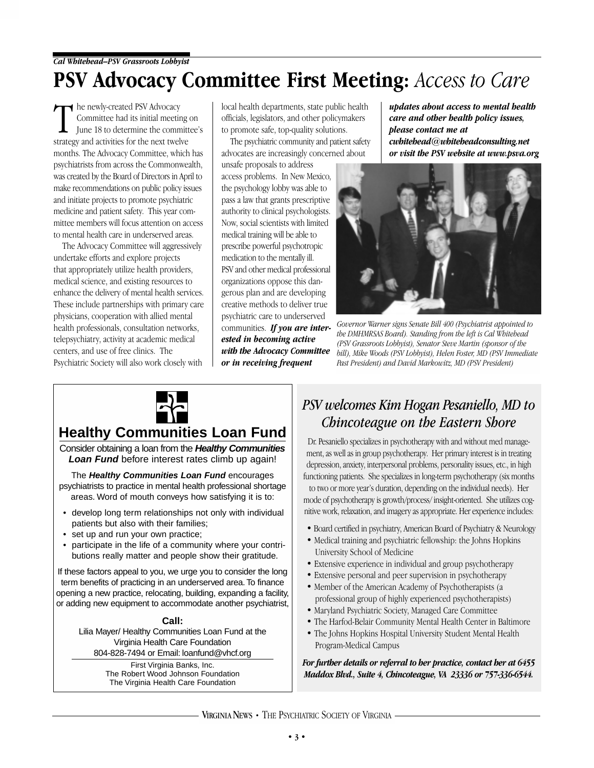# **PSV Advocacy Committee First Meeting:** *Access to Care*

The newly-created PSV Advocacy<br>
Committee had its initial meeting<br>
June 18 to determine the commit<br>
strategy and activities for the next twelve he newly-created PSV Advocacy Committee had its initial meeting on June 18 to determine the committee's months. The Advocacy Committee, which has psychiatrists from across the Commonwealth, was created by the Board of Directors in April to make recommendations on public policy issues and initiate projects to promote psychiatric medicine and patient safety. This year committee members will focus attention on access to mental health care in underserved areas.

The Advocacy Committee will aggressively undertake efforts and explore projects that appropriately utilize health providers, medical science, and existing resources to enhance the delivery of mental health services. These include partnerships with primary care physicians, cooperation with allied mental health professionals, consultation networks, telepsychiatry, activity at academic medical centers, and use of free clinics. The Psychiatric Society will also work closely with

local health departments, state public health officials, legislators, and other policymakers to promote safe, top-quality solutions.

The psychiatric community and patient safety advocates are increasingly concerned about

unsafe proposals to address access problems. In New Mexico, the psychology lobby was able to pass a law that grants prescriptive authority to clinical psychologists. Now, social scientists with limited medical training will be able to prescribe powerful psychotropic medication to the mentally ill. PSV and other medical professional organizations oppose this dangerous plan and are developing creative methods to deliver true psychiatric care to underserved communities. *If you are interested in becoming active with the Advocacy Committee or in receiving frequent*

*updates about access to mental health care and other health policy issues, please contact me at cwhitehead@whiteheadconsulting.net or visit the PSV website at www.psva.org* 



*Governor Warner signs Senate Bill 400 (Psychiatrist appointed to the DMHMRSAS Board). Standing from the left is Cal Whitehead (PSV Grassroots Lobbyist), Senator Steve Martin (sponsor of the bill), Mike Woods (PSV Lobbyist), Helen Foster, MD (PSV Immediate Past President) and David Markowitz, MD (PSV President)*



## **Healthy Communities Loan Fund**

Consider obtaining a loan from the **Healthy Communities Loan Fund** before interest rates climb up again!

The **Healthy Communities Loan Fund** encourages psychiatrists to practice in mental health professional shortage areas. Word of mouth conveys how satisfying it is to:

- develop long term relationships not only with individual patients but also with their families;
- set up and run your own practice;
- participate in the life of a community where your contributions really matter and people show their gratitude.

If these factors appeal to you, we urge you to consider the long term benefits of practicing in an underserved area. To finance opening a new practice, relocating, building, expanding a facility, or adding new equipment to accommodate another psychiatrist,

### **Call:**

Lilia Mayer/ Healthy Communities Loan Fund at the Virginia Health Care Foundation 804-828-7494 or Email: loanfund@vhcf.org

> First Virginia Banks, Inc. The Robert Wood Johnson Foundation The Virginia Health Care Foundation

# *PSV welcomes Kim Hogan Pesaniello, MD to*

*Chincoteague on the Eastern Shore* Dr. Pesaniello specializes in psychotherapy with and without med management, as well as in group psychotherapy. Her primary interest is in treating depression, anxiety, interpersonal problems, personality issues, etc., in high functioning patients. She specializes in long-term psychotherapy (six months

to two or more year's duration, depending on the individual needs). Her mode of psychotherapy is growth/process/ insight-oriented. She utilizes cognitive work, relaxation, and imagery as appropriate. Her experience includes:

- Board certified in psychiatry, American Board of Psychiatry & Neurology
- Medical training and psychiatric fellowship: the Johns Hopkins University School of Medicine
- Extensive experience in individual and group psychotherapy
- Extensive personal and peer supervision in psychotherapy
- Member of the American Academy of Psychotherapists (a professional group of highly experienced psychotherapists)
- Maryland Psychiatric Society, Managed Care Committee
- The Harfod-Belair Community Mental Health Center in Baltimore
- The Johns Hopkins Hospital University Student Mental Health Program-Medical Campus

*For further details or referral to her practice, contact her at 6455 Maddox Blvd., Suite 4, Chincoteague, VA 23336 or 757-336-6544.*

VIRGINIA NEWS • THE PSYCHIATRIC SOCIETY OF VIRGINIA ·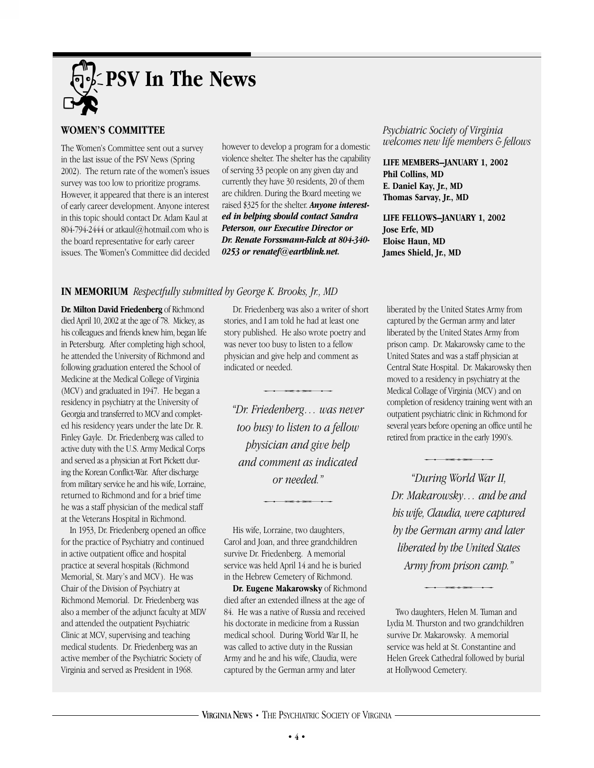

### **WOMEN'S COMMITTEE**

The Women's Committee sent out a survey in the last issue of the PSV News (Spring 2002). The return rate of the women's issues survey was too low to prioritize programs. However, it appeared that there is an interest of early career development. Anyone interest in this topic should contact Dr. Adam Kaul at 804-794-2444 or atkaul@hotmail.com who is the board representative for early career issues. The Women's Committee did decided however to develop a program for a domestic violence shelter. The shelter has the capability of serving 33 people on any given day and currently they have 30 residents, 20 of them are children. During the Board meeting we raised \$325 for the shelter. *Anyone interested in helping should contact Sandra Peterson, our Executive Director or Dr. Renate Forssmann-Falck at 804-340- 0253 or renatef@earthlink.net.*

*Psychiatric Society of Virginia welcomes new life members & fellows*

**LIFE MEMBERS–JANUARY 1, 2002 Phil Collins, MD E. Daniel Kay, Jr., MD Thomas Sarvay, Jr., MD**

**LIFE FELLOWS–JANUARY 1, 2002 Jose Erfe, MD Eloise Haun, MD James Shield, Jr., MD**

### **IN MEMORIUM** *Respectfully submitted by George K. Brooks, Jr., MD*

**Dr. Milton David Friedenberg** of Richmond died April 10, 2002 at the age of 78. Mickey, as his colleagues and friends knew him, began life in Petersburg. After completing high school, he attended the University of Richmond and following graduation entered the School of Medicine at the Medical College of Virginia (MCV) and graduated in 1947. He began a residency in psychiatry at the University of Georgia and transferred to MCV and completed his residency years under the late Dr. R. Finley Gayle. Dr. Friedenberg was called to active duty with the U.S. Army Medical Corps and served as a physician at Fort Pickett during the Korean Conflict-War. After discharge from military service he and his wife, Lorraine, returned to Richmond and for a brief time he was a staff physician of the medical staff at the Veterans Hospital in Richmond.

In 1953, Dr. Friedenberg opened an office for the practice of Psychiatry and continued in active outpatient office and hospital practice at several hospitals (Richmond Memorial, St. Mary's and MCV). He was Chair of the Division of Psychiatry at Richmond Memorial. Dr. Friedenberg was also a member of the adjunct faculty at MDV and attended the outpatient Psychiatric Clinic at MCV, supervising and teaching medical students. Dr. Friedenberg was an active member of the Psychiatric Society of Virginia and served as President in 1968.

Dr. Friedenberg was also a writer of short stories, and I am told he had at least one story published. He also wrote poetry and was never too busy to listen to a fellow physician and give help and comment as indicated or needed. *"Dr. Friedenberg… was never*<br>"Dr. *Friedenberg*… *was never* 

*too busy to listen to a fellow physician and give help and comment as indicated or needed."*

His wife, Lorraine, two daughters, Carol and Joan, and three grandchildren survive Dr. Friedenberg. A memorial service was held April 14 and he is buried in the Hebrew Cemetery of Richmond.

**Dr. Eugene Makarowsky** of Richmond died after an extended illness at the age of 84. He was a native of Russia and received his doctorate in medicine from a Russian medical school. During World War II, he was called to active duty in the Russian Army and he and his wife, Claudia, were captured by the German army and later

liberated by the United States Army from captured by the German army and later liberated by the United States Army from prison camp. Dr. Makarowsky came to the United States and was a staff physician at Central State Hospital. Dr. Makarowsky then moved to a residency in psychiatry at the Medical Collage of Virginia (MCV) and on completion of residency training went with an outpatient psychiatric clinic in Richmond for several years before opening an office until he retired from practice in the early 1990's. **Example 2018** Called In Refinion by ears before opening an office use of the early 1990's **Called War II**,

*Dr. Makarowsky… and he and his wife, Claudia, were captured by the German army and later liberated by the United States*<br>Army from prison camp."<br>Fig. diverters Helen M. Timer and *Army from prison camp."*

Two daughters, Helen M. Tuman and Lydia M. Thurston and two grandchildren survive Dr. Makarowsky. A memorial service was held at St. Constantine and Helen Greek Cathedral followed by burial at Hollywood Cemetery.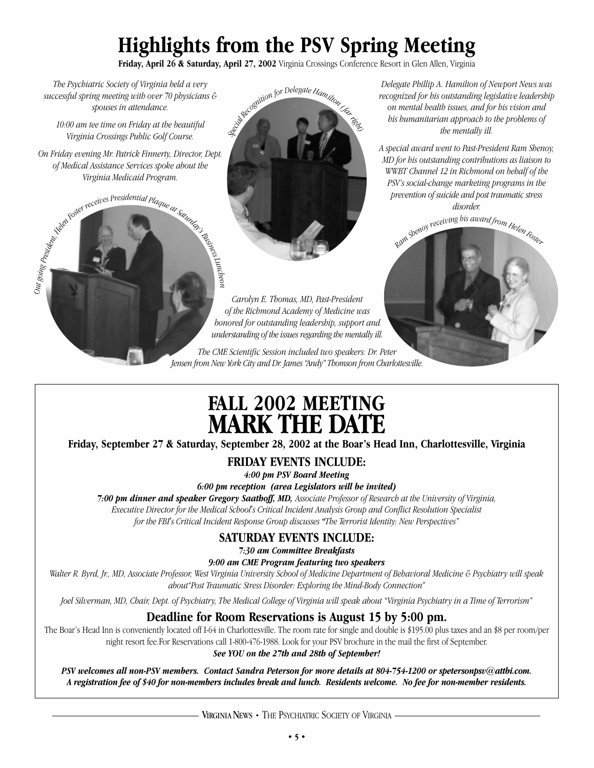# **Highlights from the PSV Spring Meeting**

**Friday, April 26 & Saturday, April 27, 2002** Virginia Crossings Conference Resort in Glen Allen, Virginia

*The Psychiatric Society of Virginia held a very successful spring meeting with over 70 physicians & spouses in attendance.*

*10:00 am tee time on Friday at the beautiful Virginia Crossings Public Golf Course.*

*On Friday evening Mr. Patrick Finnerty, Director, Dept. of Medical Assistance Services spoke about the Virginia Medicaid Program.*

Audentical Preceives Presidential Plaque at Saturday.

*Out going*



*Carolyn E. Thomas, MD, Past-President of the Richmond Academy of Medicine was honored for outstanding leadership, support and understanding of the issues regarding the mentally ill.*

*The CME Scientific Session included two speakers: Dr. Peter Jensen from New York City and Dr. James "Andy" Thomson from Charlottesville.*

*Delegate Phillip A. Hamilton of Newport News was recognized for his outstanding legislative leadership on mental health issues, and for his vision and his humanitarian approach to the problems of the mentally ill.*

*A special award went to Past-President Ram Shenoy, MD for his outstanding contributions as liaison to WWBT Channel 12 in Richmond on behalf of the PSV's social-change marketing programs in the prevention of suicide and post traumatic stress disorder.*



# **FALL 2002 MEETING MARK THE DATE**

**Friday, September 27 & Saturday, September 28, 2002 at the Boar's Head Inn, Charlottesville, Virginia**

**FRIDAY EVENTS INCLUDE:**

*4:00 pm PSV Board Meeting*

*6:00 pm reception (area Legislators will be invited)*

*7:00 pm dinner and speaker Gregory Saathoff, MD, Associate Professor of Research at the University of Virginia, Executive Director for the Medical School's Critical Incident Analysis Group and Conflict Resolution Specialist for the FBI's Critical Incident Response Group discusses "The Terrorist Identity: New Perspectives"*

## **SATURDAY EVENTS INCLUDE:**

*7:30 am Committee Breakfasts*

*9:00 am CME Program featuring two speakers*

*Walter R. Byrd, Jr., MD, Associate Professor, West Virginia University School of Medicine Department of Behavioral Medicine & Psychiatry will speak about"Post Traumatic Stress Disorder: Exploring the Mind-Body Connection"*

*Joel Silverman, MD, Chair, Dept. of Psychiatry, The Medical College of Virginia will speak about "Virginia Psychiatry in a Time of Terrorism"*

## **Deadline for Room Reservations is August 15 by 5:00 pm.**

The Boar's Head Inn is conveniently located off I-64 in Charlottesville. The room rate for single and double is \$195.00 plus taxes and an \$8 per room/per night resort fee.For Reservations call 1-800-476-1988. Look for your PSV brochure in the mail the first of September.

*See YOU on the 27th and 28th of September!*

*PSV welcomes all non-PSV members. Contact Sandra Peterson for more details at 804-754-1200 or spetersonpsv@attbi.com. A registration fee of \$40 for non-members includes break and lunch. Residents welcome. No fee for non-member residents.*

VIRGINIA NEWS • THE PSYCHIATRIC SOCIETY OF VIRGINIA -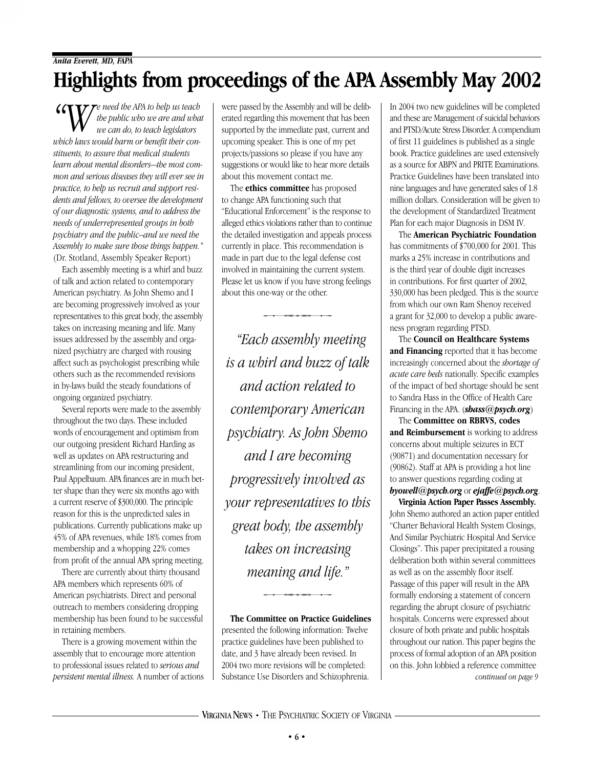**"WE NO APA to help us teach** *the public who we are and what we can do, to teach legislators which laws would harm or benefit their constituents, to assure that medical students learn about mental disorders—the most common and serious diseases they will ever see in practice, to help us recruit and support residents and fellows, to oversee the development of our diagnostic systems, and to address the needs of underrepresented groups in both psychiatry and the public--and we need the Assembly to make sure those things happen."* (Dr. Stotland, Assembly Speaker Report)

Each assembly meeting is a whirl and buzz of talk and action related to contemporary American psychiatry. As John Shemo and I are becoming progressively involved as your representatives to this great body, the assembly takes on increasing meaning and life. Many issues addressed by the assembly and organized psychiatry are charged with rousing affect such as psychologist prescribing while others such as the recommended revisions in by-laws build the steady foundations of ongoing organized psychiatry.

Several reports were made to the assembly throughout the two days. These included words of encouragement and optimism from our outgoing president Richard Harding as well as updates on APA restructuring and streamlining from our incoming president, Paul Appelbaum. APA finances are in much better shape than they were six months ago with a current reserve of \$300,000. The principle reason for this is the unpredicted sales in publications. Currently publications make up 45% of APA revenues, while 18% comes from membership and a whopping 22% comes from profit of the annual APA spring meeting.

There are currently about thirty thousand APA members which represents 60% of American psychiatrists. Direct and personal outreach to members considering dropping membership has been found to be successful in retaining members.

There is a growing movement within the assembly that to encourage more attention to professional issues related to *serious and persistent mental illness.* A number of actions were passed by the Assembly and will be deliberated regarding this movement that has been supported by the immediate past, current and upcoming speaker. This is one of my pet projects/passions so please if you have any suggestions or would like to hear more details about this movement contact me.

The **ethics committee** has proposed to change APA functioning such that "Educational Enforcement" is the response to alleged ethics violations rather than to continue the detailed investigation and appeals process currently in place. This recommendation is made in part due to the legal defense cost involved in maintaining the current system. Please let us know if you have strong feelings about this one-way or the other. *Each assembly meeting*<br> *"Each assembly meeting*"<br> *"Each assembly meeting* 

*is a whirl and buzz of talk and action related to contemporary American psychiatry. As John Shemo and I are becoming progressively involved as your representatives to this great body, the assembly takes on increasing meaning and life."*  es on increasing<br>aning and life."<br>mittee on Practice Guid

**The Committee on Practice Guidelines** presented the following information: Twelve practice guidelines have been published to date, and 3 have already been revised. In 2004 two more revisions will be completed: Substance Use Disorders and Schizophrenia.

In 2004 two new guidelines will be completed and these are Management of suicidal behaviors and PTSD/Acute Stress Disorder. A compendium of first 11 guidelines is published as a single book. Practice guidelines are used extensively as a source for ABPN and PRITE Examinations. Practice Guidelines have been translated into nine languages and have generated sales of 1.8 million dollars. Consideration will be given to the development of Standardized Treatment Plan for each major Diagnosis in DSM IV.

The **American Psychiatric Foundation** has commitments of \$700,000 for 2001. This marks a 25% increase in contributions and is the third year of double digit increases in contributions. For first quarter of 2002, 330,000 has been pledged. This is the source from which our own Ram Shenoy received a grant for 32,000 to develop a public awareness program regarding PTSD.

The **Council on Healthcare Systems and Financing** reported that it has become increasingly concerned about the *shortage of acute care beds* nationally. Specific examples of the impact of bed shortage should be sent to Sandra Hass in the Office of Health Care Financing in the APA. (*shass@psych.org*)

The **Committee on RBRVS, codes and Reimbursement** is working to address concerns about multiple seizures in ECT (90871) and documentation necessary for (90862). Staff at APA is providing a hot line to answer questions regarding coding at *byowell@psych.org* or *ejaffe@psych.org*.

**Virginia Action Paper Passes Assembly.** John Shemo authored an action paper entitled "Charter Behavioral Health System Closings, And Similar Psychiatric Hospital And Service Closings". This paper precipitated a rousing deliberation both within several committees as well as on the assembly floor itself. Passage of this paper will result in the APA formally endorsing a statement of concern regarding the abrupt closure of psychiatric hospitals. Concerns were expressed about closure of both private and public hospitals throughout our nation. This paper begins the process of formal adoption of an APA position on this. John lobbied a reference committee *continued on page 9*